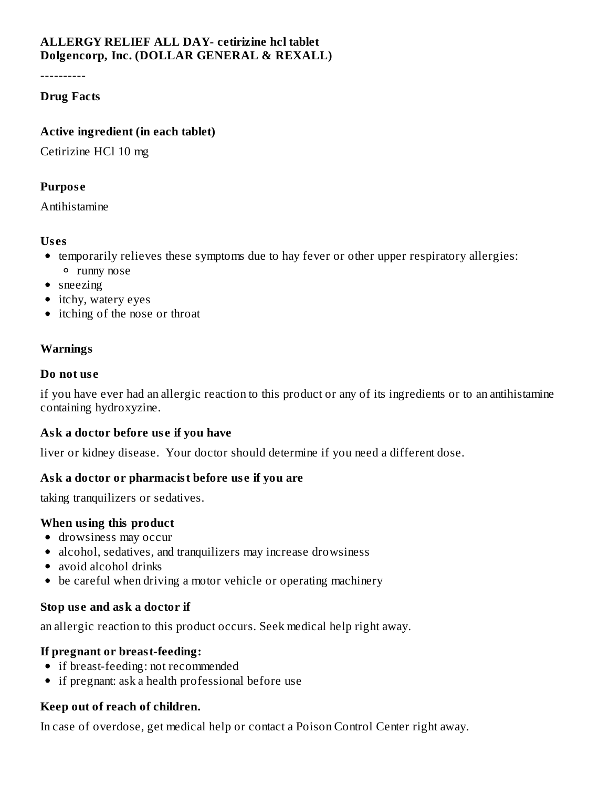# **ALLERGY RELIEF ALL DAY- cetirizine hcl tablet Dolgencorp, Inc. (DOLLAR GENERAL & REXALL)**

----------

## **Drug Facts**

## **Active ingredient (in each tablet)**

Cetirizine HCl 10 mg

## **Purpos e**

Antihistamine

## **Us es**

- temporarily relieves these symptoms due to hay fever or other upper respiratory allergies: runny nose
- sneezing
- itchy, watery eyes
- itching of the nose or throat

# **Warnings**

## **Do not us e**

if you have ever had an allergic reaction to this product or any of its ingredients or to an antihistamine containing hydroxyzine.

## **Ask a doctor before us e if you have**

liver or kidney disease. Your doctor should determine if you need a different dose.

# **Ask a doctor or pharmacist before us e if you are**

taking tranquilizers or sedatives.

## **When using this product**

- drowsiness may occur
- alcohol, sedatives, and tranquilizers may increase drowsiness
- avoid alcohol drinks
- be careful when driving a motor vehicle or operating machinery

## **Stop us e and ask a doctor if**

an allergic reaction to this product occurs. Seek medical help right away.

# **If pregnant or breast-feeding:**

- if breast-feeding: not recommended
- if pregnant: ask a health professional before use

# **Keep out of reach of children.**

In case of overdose, get medical help or contact a Poison Control Center right away.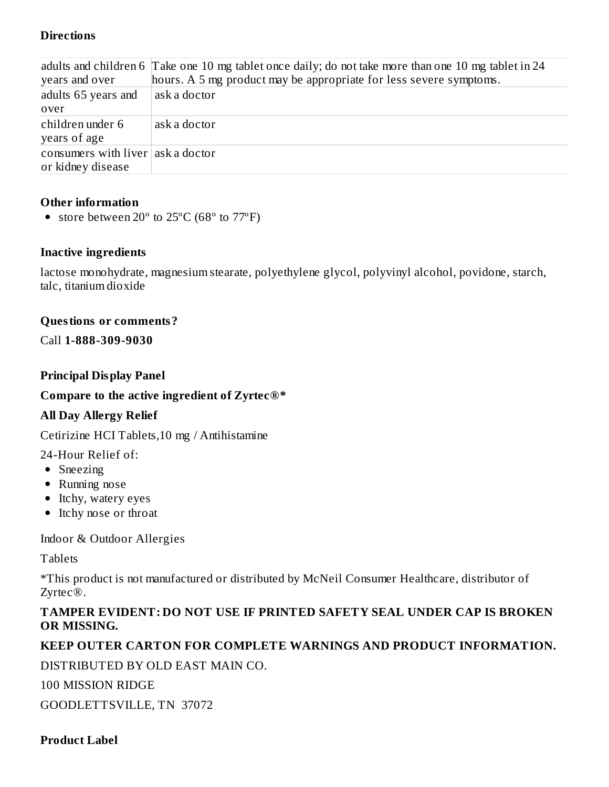## **Directions**

|                                   | adults and children 6 Take one 10 mg tablet once daily; do not take more than one 10 mg tablet in 24 |
|-----------------------------------|------------------------------------------------------------------------------------------------------|
| years and over                    | hours. A 5 mg product may be appropriate for less severe symptoms.                                   |
| adults 65 years and               | ask a doctor                                                                                         |
| over                              |                                                                                                      |
| children under 6                  | ask a doctor                                                                                         |
| years of age                      |                                                                                                      |
| consumers with liver ask a doctor |                                                                                                      |
| or kidney disease                 |                                                                                                      |

## **Other information**

• store between  $20^{\circ}$  to  $25^{\circ}$ C (68 $^{\circ}$  to  $77^{\circ}$ F)

#### **Inactive ingredients**

lactose monohydrate, magnesium stearate, polyethylene glycol, polyvinyl alcohol, povidone, starch, talc, titanium dioxide

#### **Questions or comments?**

Call **1-888-309-9030**

#### **Principal Display Panel**

## **Compare to the active ingredient of Zyrtec®\***

## **All Day Allergy Relief**

Cetirizine HCI Tablets,10 mg / Antihistamine

24-Hour Relief of:

- Sneezing
- Running nose
- Itchy, watery eyes
- Itchy nose or throat

Indoor & Outdoor Allergies

Tablets

\*This product is not manufactured or distributed by McNeil Consumer Healthcare, distributor of Zyrtec®.

## **TAMPER EVIDENT: DO NOT USE IF PRINTED SAFETY SEAL UNDER CAP IS BROKEN OR MISSING.**

## **KEEP OUTER CARTON FOR COMPLETE WARNINGS AND PRODUCT INFORMATION.**

DISTRIBUTED BY OLD EAST MAIN CO.

100 MISSION RIDGE

GOODLETTSVILLE, TN 37072

**Product Label**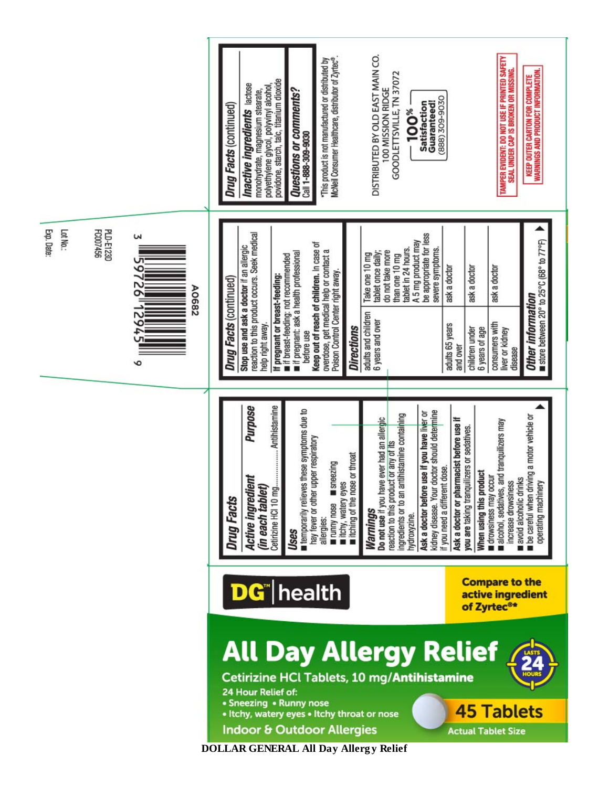

**DOLLAR GENERAL All Day Allerg y Relief**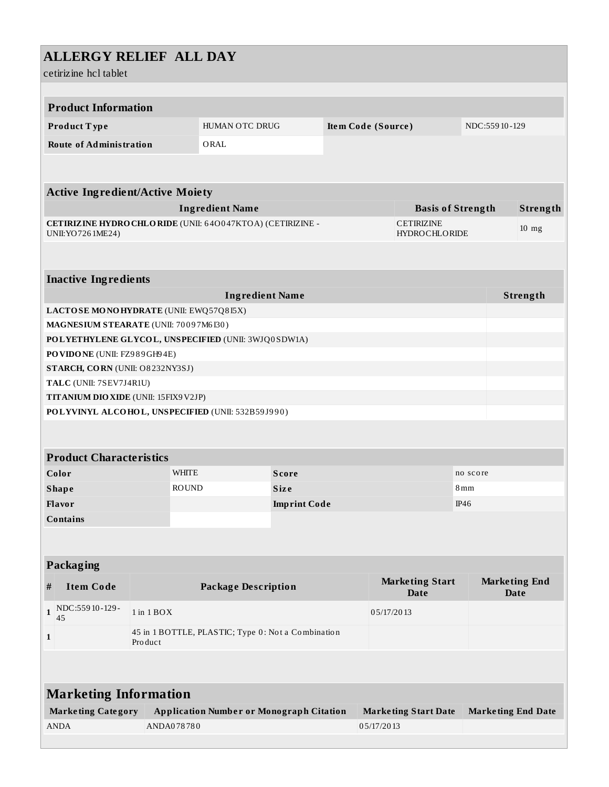| <b>ALLERGY RELIEF ALL DAY</b><br>cetirizine hcl tablet                               |                                                               |                |                             |                    |                                           |                                       |              |                           |                                     |  |  |
|--------------------------------------------------------------------------------------|---------------------------------------------------------------|----------------|-----------------------------|--------------------|-------------------------------------------|---------------------------------------|--------------|---------------------------|-------------------------------------|--|--|
| <b>Product Information</b>                                                           |                                                               |                |                             |                    |                                           |                                       |              |                           |                                     |  |  |
| Product Type                                                                         | HUMAN OTC DRUG                                                |                |                             |                    |                                           | NDC:55910-129                         |              |                           |                                     |  |  |
|                                                                                      |                                                               |                |                             | Item Code (Source) |                                           |                                       |              |                           |                                     |  |  |
| <b>Route of Administration</b>                                                       |                                                               | ORAL           |                             |                    |                                           |                                       |              |                           |                                     |  |  |
|                                                                                      |                                                               |                |                             |                    |                                           |                                       |              |                           |                                     |  |  |
| <b>Active Ingredient/Active Moiety</b>                                               |                                                               |                |                             |                    |                                           |                                       |              |                           |                                     |  |  |
| <b>Ingredient Name</b>                                                               |                                                               |                |                             |                    |                                           | <b>Basis of Strength</b>              |              |                           | Strength                            |  |  |
| CETIRIZINE HYDRO CHLORIDE (UNII: 640047KTOA) (CETIRIZINE -<br>UNII: YO 726 1ME24)    |                                                               |                |                             |                    | <b>CETIRIZINE</b><br><b>HYDROCHLORIDE</b> |                                       |              |                           | $10$ mg                             |  |  |
| <b>Inactive Ingredients</b>                                                          |                                                               |                |                             |                    |                                           |                                       |              |                           |                                     |  |  |
|                                                                                      | <b>Ingredient Name</b>                                        |                |                             |                    |                                           |                                       |              |                           | Strength                            |  |  |
| LACTOSE MONOHYDRATE (UNII: EWQ57Q8I5X)                                               |                                                               |                |                             |                    |                                           |                                       |              |                           |                                     |  |  |
| MAGNESIUM STEARATE (UNII: 70097M6I30)                                                |                                                               |                |                             |                    |                                           |                                       |              |                           |                                     |  |  |
| POLYETHYLENE GLYCOL, UNSPECIFIED (UNII: 3WJQ0SDW1A)<br>PO VIDO NE (UNII: FZ989GH94E) |                                                               |                |                             |                    |                                           |                                       |              |                           |                                     |  |  |
| STARCH, CORN (UNII: O8232NY3SJ)                                                      |                                                               |                |                             |                    |                                           |                                       |              |                           |                                     |  |  |
| TALC (UNII: 7SEV7J4R1U)                                                              |                                                               |                |                             |                    |                                           |                                       |              |                           |                                     |  |  |
| TITANIUM DIO XIDE (UNII: 15FIX9V2JP)                                                 |                                                               |                |                             |                    |                                           |                                       |              |                           |                                     |  |  |
| POLYVINYL ALCOHOL, UNSPECIFIED (UNII: 532B59J990)                                    |                                                               |                |                             |                    |                                           |                                       |              |                           |                                     |  |  |
|                                                                                      |                                                               |                |                             |                    |                                           |                                       |              |                           |                                     |  |  |
|                                                                                      |                                                               |                |                             |                    |                                           |                                       |              |                           |                                     |  |  |
| <b>Product Characteristics</b>                                                       |                                                               |                |                             |                    |                                           |                                       |              |                           |                                     |  |  |
| Color                                                                                |                                                               | WHITE<br>Score |                             |                    | no score                                  |                                       |              |                           |                                     |  |  |
| <b>Shape</b>                                                                         | <b>ROUND</b><br>Size                                          |                |                             |                    |                                           |                                       | $8\,\rm{mm}$ |                           |                                     |  |  |
| Flavor                                                                               |                                                               |                | IP46<br><b>Imprint Code</b> |                    |                                           |                                       |              |                           |                                     |  |  |
| <b>Contains</b>                                                                      |                                                               |                |                             |                    |                                           |                                       |              |                           |                                     |  |  |
|                                                                                      |                                                               |                |                             |                    |                                           |                                       |              |                           |                                     |  |  |
| Packaging                                                                            |                                                               |                |                             |                    |                                           |                                       |              |                           |                                     |  |  |
| <b>Item Code</b><br>#                                                                | <b>Package Description</b>                                    |                |                             |                    |                                           | <b>Marketing Start</b><br><b>Date</b> |              |                           | <b>Marketing End</b><br><b>Date</b> |  |  |
| NDC:55910-129-<br>$\mathbf{1}$<br>45                                                 | $1$ in $1$ $BOX$                                              |                |                             |                    | 05/17/2013                                |                                       |              |                           |                                     |  |  |
| $\mathbf{1}$                                                                         | 45 in 1 BOTTLE, PLASTIC; Type 0: Not a Combination<br>Product |                |                             |                    |                                           |                                       |              |                           |                                     |  |  |
|                                                                                      |                                                               |                |                             |                    |                                           |                                       |              |                           |                                     |  |  |
| <b>Marketing Information</b>                                                         |                                                               |                |                             |                    |                                           |                                       |              |                           |                                     |  |  |
| <b>Marketing Category</b>                                                            | <b>Application Number or Monograph Citation</b>               |                |                             |                    | <b>Marketing Start Date</b>               |                                       |              | <b>Marketing End Date</b> |                                     |  |  |
| <b>ANDA</b>                                                                          | ANDA078780                                                    |                |                             |                    | 05/17/2013                                |                                       |              |                           |                                     |  |  |
|                                                                                      |                                                               |                |                             |                    |                                           |                                       |              |                           |                                     |  |  |